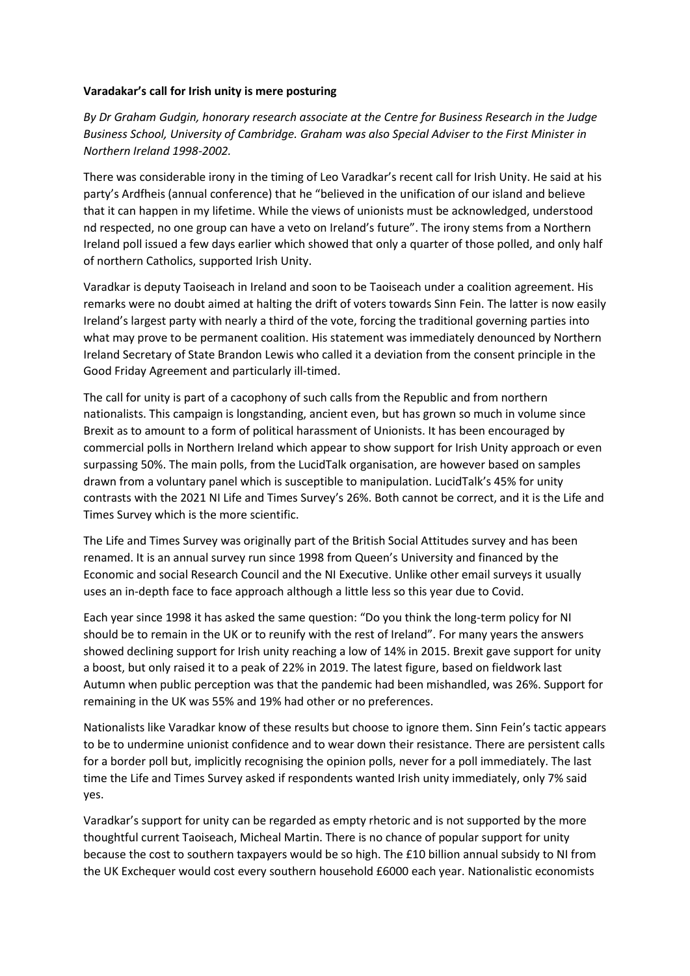## **Varadakar's call for Irish unity is mere posturing**

*By Dr Graham Gudgin, honorary research associate at the Centre for Business Research in the Judge Business School, University of Cambridge. Graham was also Special Adviser to the First Minister in Northern Ireland 1998-2002.*

There was considerable irony in the timing of Leo Varadkar's recent call for Irish Unity. He said at his party's Ardfheis (annual conference) that he "believed in the unification of our island and believe that it can happen in my lifetime. While the views of unionists must be acknowledged, understood nd respected, no one group can have a veto on Ireland's future". The irony stems from a Northern Ireland poll issued a few days earlier which showed that only a quarter of those polled, and only half of northern Catholics, supported Irish Unity.

Varadkar is deputy Taoiseach in Ireland and soon to be Taoiseach under a coalition agreement. His remarks were no doubt aimed at halting the drift of voters towards Sinn Fein. The latter is now easily Ireland's largest party with nearly a third of the vote, forcing the traditional governing parties into what may prove to be permanent coalition. His statement was immediately denounced by Northern Ireland Secretary of State Brandon Lewis who called it a deviation from the consent principle in the Good Friday Agreement and particularly ill-timed.

The call for unity is part of a cacophony of such calls from the Republic and from northern nationalists. This campaign is longstanding, ancient even, but has grown so much in volume since Brexit as to amount to a form of political harassment of Unionists. It has been encouraged by commercial polls in Northern Ireland which appear to show support for Irish Unity approach or even surpassing 50%. The main polls, from the LucidTalk organisation, are however based on samples drawn from a voluntary panel which is susceptible to manipulation. LucidTalk's 45% for unity contrasts with the 2021 NI Life and Times Survey's 26%. Both cannot be correct, and it is the Life and Times Survey which is the more scientific.

The Life and Times Survey was originally part of the British Social Attitudes survey and has been renamed. It is an annual survey run since 1998 from Queen's University and financed by the Economic and social Research Council and the NI Executive. Unlike other email surveys it usually uses an in-depth face to face approach although a little less so this year due to Covid.

Each year since 1998 it has asked the same question: "Do you think the long-term policy for NI should be to remain in the UK or to reunify with the rest of Ireland". For many years the answers showed declining support for Irish unity reaching a low of 14% in 2015. Brexit gave support for unity a boost, but only raised it to a peak of 22% in 2019. The latest figure, based on fieldwork last Autumn when public perception was that the pandemic had been mishandled, was 26%. Support for remaining in the UK was 55% and 19% had other or no preferences.

Nationalists like Varadkar know of these results but choose to ignore them. Sinn Fein's tactic appears to be to undermine unionist confidence and to wear down their resistance. There are persistent calls for a border poll but, implicitly recognising the opinion polls, never for a poll immediately. The last time the Life and Times Survey asked if respondents wanted Irish unity immediately, only 7% said yes.

Varadkar's support for unity can be regarded as empty rhetoric and is not supported by the more thoughtful current Taoiseach, Micheal Martin. There is no chance of popular support for unity because the cost to southern taxpayers would be so high. The £10 billion annual subsidy to NI from the UK Exchequer would cost every southern household £6000 each year. Nationalistic economists